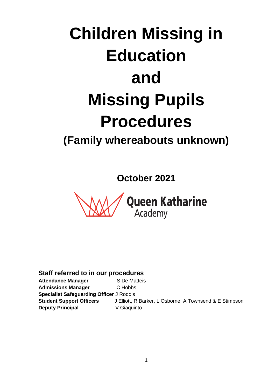# **Children Missing in Education and Missing Pupils Procedures (Family whereabouts unknown)**

**October 2021**



**Staff referred to in our procedures**

Attendance Manager **S** De Matteis **Admissions Manager** C Hobbs **Specialist Safeguarding Officer** J Roddis **Student Support Officers** J Elliott, R Barker, L Osborne, A Townsend & E Stimpson **Deputy Principal** V Giaquinto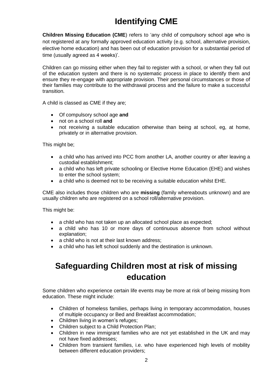# **Identifying CME**

**Children Missing Education (CME**) refers to 'any child of compulsory school age who is not registered at any formally approved education activity (e.g. school, alternative provision, elective home education) and has been out of education provision for a substantial period of time (usually agreed as 4 weeks)'.

Children can go missing either when they fail to register with a school, or when they fall out of the education system and there is no systematic process in place to identify them and ensure they re-engage with appropriate provision. Their personal circumstances or those of their families may contribute to the withdrawal process and the failure to make a successful transition.

A child is classed as CME if they are;

- Of compulsory school age **and**
- not on a school roll **and**
- not receiving a suitable education otherwise than being at school, eg, at home, privately or in alternative provision.

This might be;

- a child who has arrived into PCC from another LA, another country or after leaving a custodial establishment;
- a child who has left private schooling or Elective Home Education (EHE) and wishes to enter the school system;
- a child who is deemed not to be receiving a suitable education whilst EHE.

CME also includes those children who are **missing** (family whereabouts unknown) and are usually children who are registered on a school roll/alternative provision.

This might be:

- a child who has not taken up an allocated school place as expected;
- a child who has 10 or more days of continuous absence from school without explanation;
- a child who is not at their last known address:
- a child who has left school suddenly and the destination is unknown.

### **Safeguarding Children most at risk of missing education**

Some children who experience certain life events may be more at risk of being missing from education. These might include:

- Children of homeless families, perhaps living in temporary accommodation, houses of multiple occupancy or Bed and Breakfast accommodation;
- Children living in women's refuges;
- Children subject to a Child Protection Plan;
- Children in new immigrant families who are not yet established in the UK and may not have fixed addresses;
- Children from transient families, i.e. who have experienced high levels of mobility between different education providers;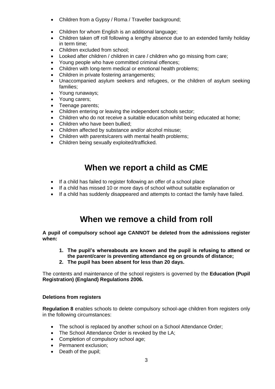- Children from a Gypsy / Roma / Traveller background;
- Children for whom English is an additional language;
- Children taken off roll following a lengthy absence due to an extended family holiday in term time;
- Children excluded from school:
- Looked after children / children in care / children who go missing from care;
- Young people who have committed criminal offences;
- Children with long-term medical or emotional health problems;
- Children in private fostering arrangements;
- Unaccompanied asylum seekers and refugees, or the children of asylum seeking families;
- Young runaways;
- Young carers:
- Teenage parents;
- Children entering or leaving the independent schools sector;
- Children who do not receive a suitable education whilst being educated at home;
- Children who have been bullied;
- Children affected by substance and/or alcohol misuse;
- Children with parents/carers with mental health problems;
- Children being sexually exploited/trafficked.

### **When we report a child as CME**

- If a child has failed to register following an offer of a school place
- If a child has missed 10 or more days of school without suitable explanation or
- If a child has suddenly disappeared and attempts to contact the family have failed.

### **When we remove a child from roll**

**A pupil of compulsory school age CANNOT be deleted from the admissions register when:**

- **1. The pupil's whereabouts are known and the pupil is refusing to attend or the parent/carer is preventing attendance eg on grounds of distance;**
- **2. The pupil has been absent for less than 20 days.**

The contents and maintenance of the school registers is governed by the **Education (Pupil Registration) (England) Regulations 2006.**

#### **Deletions from registers**

**Regulation 8** enables schools to delete compulsory school-age children from registers only in the following circumstances:

- The school is replaced by another school on a School Attendance Order:
- The School Attendance Order is revoked by the LA;
- Completion of compulsory school age;
- Permanent exclusion;
- Death of the pupil;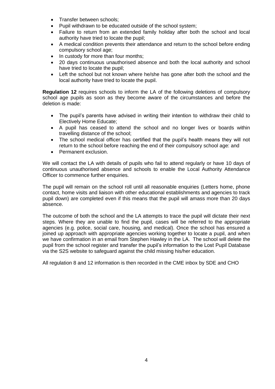- Transfer between schools;
- Pupil withdrawn to be educated outside of the school system;
- Failure to return from an extended family holiday after both the school and local authority have tried to locate the pupil;
- A medical condition prevents their attendance and return to the school before ending compulsory school age;
- In custody for more than four months;
- 20 days continuous unauthorised absence and both the local authority and school have tried to locate the pupil;
- Left the school but not known where he/she has gone after both the school and the local authority have tried to locate the pupil.

**Regulation 12** requires schools to inform the LA of the following deletions of compulsory school age pupils as soon as they become aware of the circumstances and before the deletion is made:

- The pupil's parents have advised in writing their intention to withdraw their child to Electively Home Educate;
- A pupil has ceased to attend the school and no longer lives or boards within travelling distance of the school;
- The school medical officer has certified that the pupil's health means they will not return to the school before reaching the end of their compulsory school age: and
- Permanent exclusion.

We will contact the LA with details of pupils who fail to attend regularly or have 10 days of continuous unauthorised absence and schools to enable the Local Authority Attendance Officer to commence further enquiries.

The pupil will remain on the school roll until all reasonable enquiries (Letters home, phone contact, home visits and liaison with other educational establishments and agencies to track pupil down) are completed even if this means that the pupil will amass more than 20 days absence.

The outcome of both the school and the LA attempts to trace the pupil will dictate their next steps. Where they are unable to find the pupil, cases will be referred to the appropriate agencies (e.g. police, social care, housing, and medical). Once the school has ensured a joined up approach with appropriate agencies working together to locate a pupil, and when we have confirmation in an email from Stephen Hawley in the LA. The school will delete the pupil from the school register and transfer the pupil's information to the Lost Pupil Database via the S2S website to safeguard against the child missing his/her education.

All regulation 8 and 12 information is then recorded in the CME inbox by SDE and CHO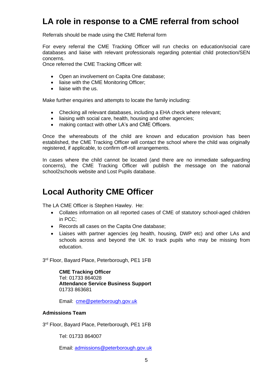### **LA role in response to a CME referral from school**

Referrals should be made using the CME Referral form

For every referral the CME Tracking Officer will run checks on education/social care databases and liaise with relevant professionals regarding potential child protection/SEN concerns.

Once referred the CME Tracking Officer will:

- Open an involvement on Capita One database;
- liaise with the CME Monitoring Officer;
- liaise with the us.

Make further enquiries and attempts to locate the family including:

- Checking all relevant databases, including a EHA check where relevant;
- liaising with social care, health, housing and other agencies;
- making contact with other LA's and CME Officers.

Once the whereabouts of the child are known and education provision has been established, the CME Tracking Officer will contact the school where the child was originally registered, if applicable, to confirm off-roll arrangements.

In cases where the child cannot be located (and there are no immediate safeguarding concerns), the CME Tracking Officer will publish the message on the national school2schools website and Lost Pupils database.

### **Local Authority CME Officer**

The LA CME Officer is Stephen Hawley. He:

- Collates information on all reported cases of CME of statutory school-aged children in PCC;
- Records all cases on the Capita One database;
- Liaises with partner agencies (eg health, housing, DWP etc) and other LAs and schools across and beyond the UK to track pupils who may be missing from education.

3<sup>rd</sup> Floor, Bayard Place, Peterborough, PE1 1FB

**CME Tracking Officer**  Tel: 01733 864028 **Attendance Service Business Support** 01733 863681

Email: [cme@peterborough.gov.uk](mailto:cme@peterborough.gov.uk)

#### **Admissions Team**

3<sup>rd</sup> Floor, Bayard Place, Peterborough, PE1 1FB

Tel: 01733 864007

Email: [admissions@peterborough.gov.uk](mailto:admissions@peterborough.gov.uk)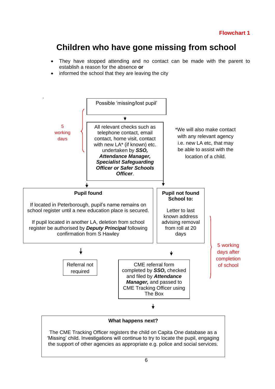### **Children who have gone missing from school**

- They have stopped attending and no contact can be made with the parent to establish a reason for the absence **or**
- informed the school that they are leaving the city



#### **What happens next?**

The CME Tracking Officer registers the child on Capita One database as a 'Missing' child. Investigations will continue to try to locate the pupil, engaging the support of other agencies as appropriate e.g. police and social services.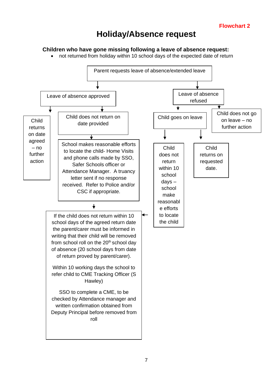### **Holiday/Absence request**

#### **Children who have gone missing following a leave of absence request:**

• not returned from holiday within 10 school days of the expected date of return

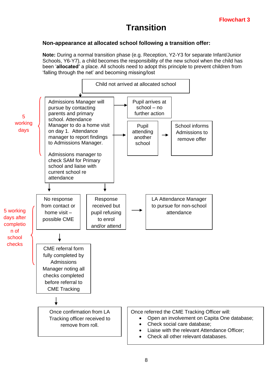### **Transition**

#### **Non-appearance at allocated school following a transition offer:**

**Note:** During a normal transition phase (e.g. Reception, Y2-Y3 for separate Infant/Junior Schools, Y6-Y7), a child becomes the responsibility of the new school when the child has been '**allocated'** a place. All schools need to adopt this principle to prevent children from 'falling through the net' and becoming missing/lost

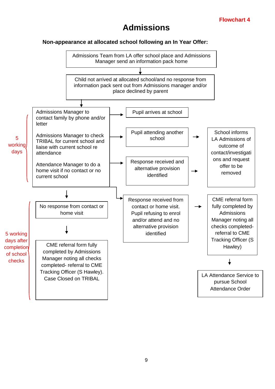### **Admissions**

#### **Non-appearance at allocated school following an In Year Offer:**

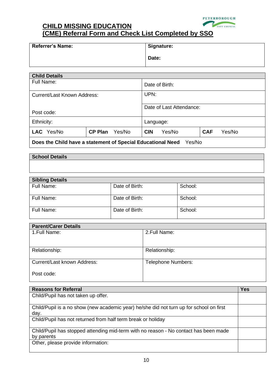

#### **CHILD MISSING EDUCATION (CME) Referral Form and Check List Completed by SSO**

| <b>Referrer's Name:</b> | <b>Signature:</b> |
|-------------------------|-------------------|
|                         | Date:             |

| <b>Child Details</b>                   |  |  |                          |        |            |        |
|----------------------------------------|--|--|--------------------------|--------|------------|--------|
| Full Name:                             |  |  | Date of Birth:           |        |            |        |
| Current/Last Known Address:            |  |  | UPN:                     |        |            |        |
|                                        |  |  | Date of Last Attendance: |        |            |        |
| Post code:                             |  |  |                          |        |            |        |
| Ethnicity:                             |  |  | Language:                |        |            |        |
| LAC Yes/No<br><b>CP Plan</b><br>Yes/No |  |  | <b>CIN</b>               | Yes/No | <b>CAF</b> | Yes/No |
| <u>.</u>                               |  |  |                          |        |            |        |

**Does the Child have a statement of Special Educational Need** Yes/No

#### **School Details**

# **Sibling Details** Full Name:  $\vert$  Date of Birth:  $\vert$  School: Full Name: Date of Birth: School: Full Name: Date of Birth: School:

| <b>Parent/Carer Details</b> |                           |
|-----------------------------|---------------------------|
| 1. Full Name:               | 2. Full Name:             |
|                             |                           |
| Relationship:               | Relationship:             |
|                             |                           |
| Current/Last known Address: | <b>Telephone Numbers:</b> |
| Post code:                  |                           |
|                             |                           |

| <b>Reasons for Referral</b>                                                             | <b>Yes</b> |
|-----------------------------------------------------------------------------------------|------------|
| Child/Pupil has not taken up offer.                                                     |            |
|                                                                                         |            |
| Child/Pupil is a no show (new academic year) he/she did not turn up for school on first |            |
| day.                                                                                    |            |
| Child/Pupil has not returned from half term break or holiday                            |            |
| Child/Pupil has stopped attending mid-term with no reason - No contact has been made    |            |
| by parents                                                                              |            |
| Other, please provide information:                                                      |            |
|                                                                                         |            |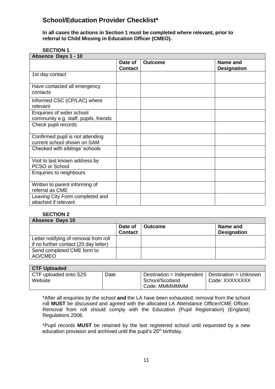#### **School/Education Provider Checklist\***

**In all cases the actions in Section 1 must be completed where relevant, prior to referral to Child Missing in Education Officer (CMEO).**

#### **SECTION 1**

| Absence Days 1 - 10                                                |                           |                |                                |  |  |
|--------------------------------------------------------------------|---------------------------|----------------|--------------------------------|--|--|
|                                                                    | Date of<br><b>Contact</b> | <b>Outcome</b> | Name and<br><b>Designation</b> |  |  |
| 1st day contact                                                    |                           |                |                                |  |  |
| Have contacted all emergency<br>contacts                           |                           |                |                                |  |  |
| Informed CSC (CP/LAC) where<br>relevant                            |                           |                |                                |  |  |
| Enquiries of wider school<br>community e.g. staff, pupils, friends |                           |                |                                |  |  |
| Check pupil records                                                |                           |                |                                |  |  |
| Confirmed pupil is not attending<br>current school shown on SAM    |                           |                |                                |  |  |
| Checked with siblings' schools                                     |                           |                |                                |  |  |
| Visit to last known address by<br>PCSO or School                   |                           |                |                                |  |  |
| Enquiries to neighbours                                            |                           |                |                                |  |  |
| Written to parent informing of<br>referral as CME                  |                           |                |                                |  |  |
| Leaving City Form completed and<br>attached if relevant            |                           |                |                                |  |  |

#### **SECTION 2**

| <b>Absence Days 10</b>                                                         |                           |                |                                |  |  |  |
|--------------------------------------------------------------------------------|---------------------------|----------------|--------------------------------|--|--|--|
|                                                                                | Date of<br><b>Contact</b> | <b>Outcome</b> | Name and<br><b>Designation</b> |  |  |  |
| Letter notifying of removal from roll<br>if no further contact (20 day letter) |                           |                |                                |  |  |  |
| Send completed CME form to<br>AO/CMEO                                          |                           |                |                                |  |  |  |

| <b>CTF Uploaded</b>   |      |                           |                       |
|-----------------------|------|---------------------------|-----------------------|
| CTF uploaded onto S2S | Date | Destination = Independent | Destination = Unknown |
| Website               |      | School/Scotland           | Code: XXXXXXXX        |
|                       |      | Code: MMMMMMM             |                       |

\*After all enquiries by the school **and** the LA have been exhausted; removal from the school roll **MUST** be discussed and agreed with the allocated LA Attendance Officer/CME Officer. Removal from roll should comply with the Education (Pupil Registration) (England) Regulations 2006.

\*Pupil records **MUST** be retained by the last registered school until requested by a new education provision and archived until the pupil's  $25<sup>th</sup>$  birthday.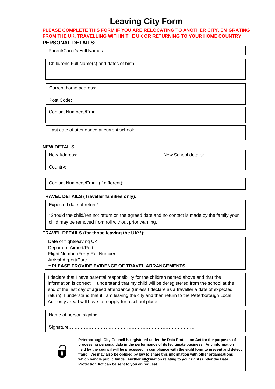# **Leaving City Form**

#### **PLEASE COMPLETE THIS FORM IF YOU ARE RELOCATING TO ANOTHER CITY, EMIGRATING FROM THE UK, TRAVELLING WITHIN THE UK OR RETURNING TO YOUR HOME COUNTRY. PERSONAL DETAILS:**

Parent/Carer's Full Names:

Child/rens Full Name(s) and dates of birth:

Current home address:

Post Code:

Contact Numbers/Email:

Last date of attendance at current school:

#### **NEW DETAILS:**

New Address:

Country:

New School details:

Contact Numbers/Email (if different):

#### **TRAVEL DETAILS (Traveller families only):**

Expected date of return\*:

\*Should the child/ren not return on the agreed date and no contact is made by the family your child may be removed from roll without prior warning.

#### **TRAVEL DETAILS (for those leaving the UK\*\*):**

Date of flight/leaving UK: Departure Airport/Port: Flight Number/Ferry Ref Number: Arrival Airport/Port: \*\***PLEASE PROVIDE EVIDENCE OF TRAVEL ARRANGEMENTS**

I declare that I have parental responsibility for the children named above and that the information is correct. I understand that my child will be deregistered from the school at the end of the last day of agreed attendance (unless I declare as a traveller a date of expected return). I understand that if I am leaving the city and then return to the Peterborough Local Authority area I will have to reapply for a school place.

Name of person signing:

Date………………………

Signature……………………………………………………………….……….



which handle public funds. Further information relating to your rights under the Data **Peterborough City Council is registered under the Data Protection Act for the purposes of processing personal data in the performance of its legitimate business. Any information held by the council will be processed in compliance with the eight form to prevent and detect fraud. We may also be obliged by law to share this information with other organisations Protection Act can be sent to you on request.**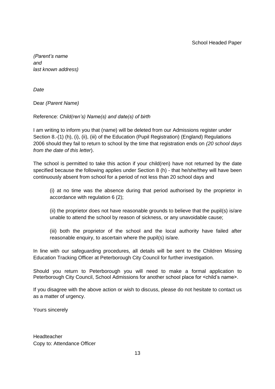*(Parent's name and last known address)*

*Date*

Dear *(Parent Name)*

#### Reference: *Child(ren's) Name(s) and date(s) of birth*

I am writing to inform you that (name) will be deleted from our Admissions register under Section 8.-(1) (h), (i), (ii), (iii) of the Education (Pupil Registration) (England) Regulations 2006 should they fail to return to school by the time that registration ends on *(20 school days from the date of this letter*).

The school is permitted to take this action if your child(ren) have not returned by the date specified because the following applies under Section 8 (h) - that he/she/they will have been continuously absent from school for a period of not less than 20 school days and

(i) at no time was the absence during that period authorised by the proprietor in accordance with regulation 6 (2);

(ii) the proprietor does not have reasonable grounds to believe that the pupil(s) is/are unable to attend the school by reason of sickness, or any unavoidable cause;

(iii) both the proprietor of the school and the local authority have failed after reasonable enquiry, to ascertain where the pupil(s) is/are.

In line with our safeguarding procedures, all details will be sent to the Children Missing Education Tracking Officer at Peterborough City Council for further investigation.

Should you return to Peterborough you will need to make a formal application to Peterborough City Council, School Admissions for another school place for <child's name>.

If you disagree with the above action or wish to discuss, please do not hesitate to contact us as a matter of urgency.

Yours sincerely

Headteacher Copy to: Attendance Officer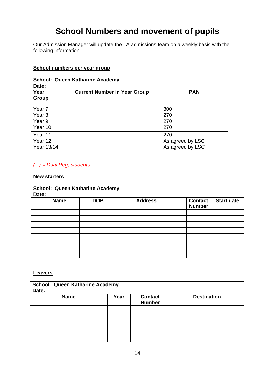# **School Numbers and movement of pupils**

Our Admission Manager will update the LA admissions team on a weekly basis with the following information

| <b>School: Queen Katharine Academy</b> |                                     |                  |  |  |  |  |
|----------------------------------------|-------------------------------------|------------------|--|--|--|--|
| Date:                                  |                                     |                  |  |  |  |  |
| Year<br>Group                          | <b>Current Number in Year Group</b> | <b>PAN</b>       |  |  |  |  |
| Year 7                                 |                                     | 300              |  |  |  |  |
| Year <sub>8</sub>                      |                                     | 270              |  |  |  |  |
| Year 9                                 |                                     | 270              |  |  |  |  |
| Year 10                                |                                     | 270              |  |  |  |  |
| Year 11                                |                                     | 270              |  |  |  |  |
| Year 12                                |                                     | As agreed by LSC |  |  |  |  |
| Year 13/14                             |                                     | As agreed by LSC |  |  |  |  |

#### **School numbers per year group**

#### *( ) = Dual Reg, students*

#### **New starters**

| School: Queen Katharine Academy |  |            |                |                                 |                   |  |  |
|---------------------------------|--|------------|----------------|---------------------------------|-------------------|--|--|
| Date:                           |  |            |                |                                 |                   |  |  |
| <b>Name</b>                     |  | <b>DOB</b> | <b>Address</b> | <b>Contact</b><br><b>Number</b> | <b>Start date</b> |  |  |
|                                 |  |            |                |                                 |                   |  |  |
|                                 |  |            |                |                                 |                   |  |  |
|                                 |  |            |                |                                 |                   |  |  |
|                                 |  |            |                |                                 |                   |  |  |
|                                 |  |            |                |                                 |                   |  |  |
|                                 |  |            |                |                                 |                   |  |  |
|                                 |  |            |                |                                 |                   |  |  |
|                                 |  |            |                |                                 |                   |  |  |

#### **Leavers**

| School: Queen Katharine Academy |      |                                 |                    |  |  |  |
|---------------------------------|------|---------------------------------|--------------------|--|--|--|
| Date:                           |      |                                 |                    |  |  |  |
| <b>Name</b>                     | Year | <b>Contact</b><br><b>Number</b> | <b>Destination</b> |  |  |  |
|                                 |      |                                 |                    |  |  |  |
|                                 |      |                                 |                    |  |  |  |
|                                 |      |                                 |                    |  |  |  |
|                                 |      |                                 |                    |  |  |  |
|                                 |      |                                 |                    |  |  |  |
|                                 |      |                                 |                    |  |  |  |